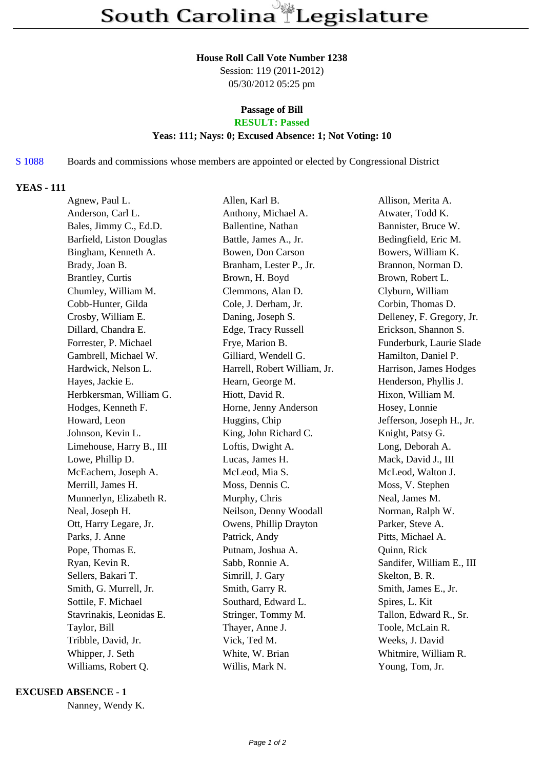#### **House Roll Call Vote Number 1238**

Session: 119 (2011-2012) 05/30/2012 05:25 pm

## **Passage of Bill**

# **RESULT: Passed**

## **Yeas: 111; Nays: 0; Excused Absence: 1; Not Voting: 10**

### S 1088 Boards and commissions whose members are appointed or elected by Congressional District

### **YEAS - 111**

| Agnew, Paul L.           | Allen, Karl B.               | Allison, Merita A.        |
|--------------------------|------------------------------|---------------------------|
| Anderson, Carl L.        | Anthony, Michael A.          | Atwater, Todd K.          |
| Bales, Jimmy C., Ed.D.   | Ballentine, Nathan           | Bannister, Bruce W.       |
| Barfield, Liston Douglas | Battle, James A., Jr.        | Bedingfield, Eric M.      |
| Bingham, Kenneth A.      | Bowen, Don Carson            | Bowers, William K.        |
| Brady, Joan B.           | Branham, Lester P., Jr.      | Brannon, Norman D.        |
| Brantley, Curtis         | Brown, H. Boyd               | Brown, Robert L.          |
| Chumley, William M.      | Clemmons, Alan D.            | Clyburn, William          |
| Cobb-Hunter, Gilda       | Cole, J. Derham, Jr.         | Corbin, Thomas D.         |
| Crosby, William E.       | Daning, Joseph S.            | Delleney, F. Gregory, Jr. |
| Dillard, Chandra E.      | Edge, Tracy Russell          | Erickson, Shannon S.      |
| Forrester, P. Michael    | Frye, Marion B.              | Funderburk, Laurie Slade  |
| Gambrell, Michael W.     | Gilliard, Wendell G.         | Hamilton, Daniel P.       |
| Hardwick, Nelson L.      | Harrell, Robert William, Jr. | Harrison, James Hodges    |
| Hayes, Jackie E.         | Hearn, George M.             | Henderson, Phyllis J.     |
| Herbkersman, William G.  | Hiott, David R.              | Hixon, William M.         |
| Hodges, Kenneth F.       | Horne, Jenny Anderson        | Hosey, Lonnie             |
| Howard, Leon             | Huggins, Chip                | Jefferson, Joseph H., Jr. |
| Johnson, Kevin L.        | King, John Richard C.        | Knight, Patsy G.          |
| Limehouse, Harry B., III | Loftis, Dwight A.            | Long, Deborah A.          |
| Lowe, Phillip D.         | Lucas, James H.              | Mack, David J., III       |
| McEachern, Joseph A.     | McLeod, Mia S.               | McLeod, Walton J.         |
| Merrill, James H.        | Moss, Dennis C.              | Moss, V. Stephen          |
| Munnerlyn, Elizabeth R.  | Murphy, Chris                | Neal, James M.            |
| Neal, Joseph H.          | Neilson, Denny Woodall       | Norman, Ralph W.          |
| Ott, Harry Legare, Jr.   | Owens, Phillip Drayton       | Parker, Steve A.          |
| Parks, J. Anne           | Patrick, Andy                | Pitts, Michael A.         |
| Pope, Thomas E.          | Putnam, Joshua A.            | Quinn, Rick               |
| Ryan, Kevin R.           | Sabb, Ronnie A.              | Sandifer, William E., III |
| Sellers, Bakari T.       | Simrill, J. Gary             | Skelton, B. R.            |
| Smith, G. Murrell, Jr.   | Smith, Garry R.              | Smith, James E., Jr.      |
| Sottile, F. Michael      | Southard, Edward L.          | Spires, L. Kit            |
| Stavrinakis, Leonidas E. | Stringer, Tommy M.           | Tallon, Edward R., Sr.    |
| Taylor, Bill             | Thayer, Anne J.              | Toole, McLain R.          |
| Tribble, David, Jr.      | Vick, Ted M.                 | Weeks, J. David           |
| Whipper, J. Seth         | White, W. Brian              | Whitmire, William R.      |
| Williams, Robert Q.      | Willis, Mark N.              | Young, Tom, Jr.           |
|                          |                              |                           |

### **EXCUSED ABSENCE - 1**

Nanney, Wendy K.